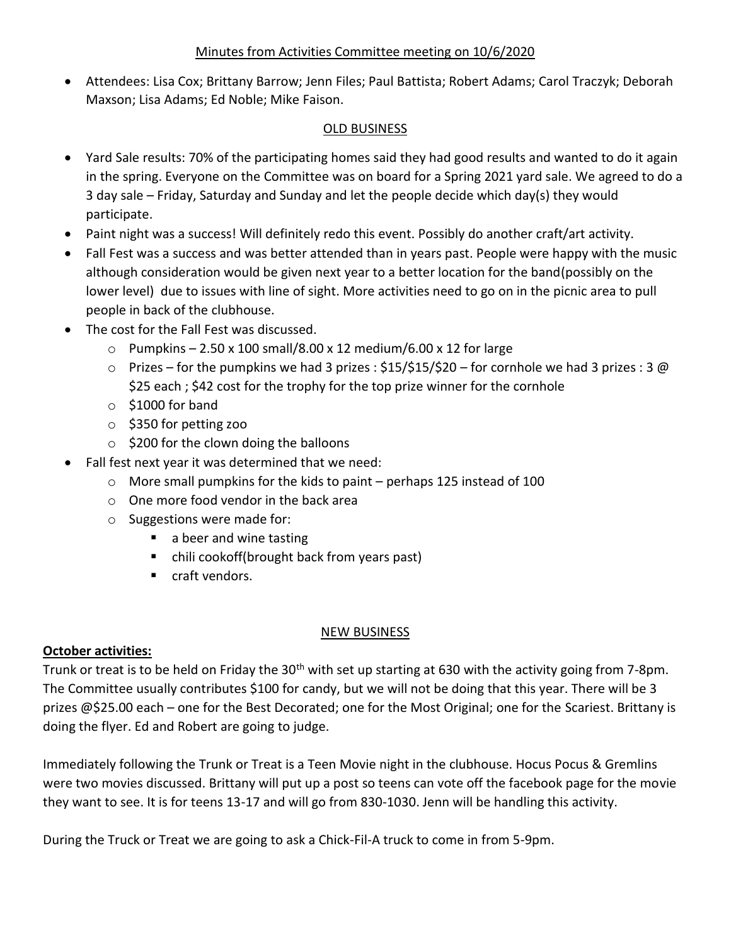## Minutes from Activities Committee meeting on 10/6/2020

• Attendees: Lisa Cox; Brittany Barrow; Jenn Files; Paul Battista; Robert Adams; Carol Traczyk; Deborah Maxson; Lisa Adams; Ed Noble; Mike Faison.

## OLD BUSINESS

- Yard Sale results: 70% of the participating homes said they had good results and wanted to do it again in the spring. Everyone on the Committee was on board for a Spring 2021 yard sale. We agreed to do a 3 day sale – Friday, Saturday and Sunday and let the people decide which day(s) they would participate.
- Paint night was a success! Will definitely redo this event. Possibly do another craft/art activity.
- Fall Fest was a success and was better attended than in years past. People were happy with the music although consideration would be given next year to a better location for the band(possibly on the lower level) due to issues with line of sight. More activities need to go on in the picnic area to pull people in back of the clubhouse.
- The cost for the Fall Fest was discussed.
	- $\circ$  Pumpkins 2.50 x 100 small/8.00 x 12 medium/6.00 x 12 for large
	- $\circ$  Prizes for the pumpkins we had 3 prizes : \$15/\$15/\$20 for cornhole we had 3 prizes : 3 @ \$25 each ; \$42 cost for the trophy for the top prize winner for the cornhole
	- $\circ$  \$1000 for band
	- o \$350 for petting zoo
	- $\circ$  \$200 for the clown doing the balloons
- Fall fest next year it was determined that we need:
	- o More small pumpkins for the kids to paint perhaps 125 instead of 100
	- o One more food vendor in the back area
	- o Suggestions were made for:
		- a beer and wine tasting
		- chili cookoff(brought back from years past)
		- craft vendors.

# NEW BUSINESS

# **October activities:**

Trunk or treat is to be held on Friday the 30<sup>th</sup> with set up starting at 630 with the activity going from 7-8pm. The Committee usually contributes \$100 for candy, but we will not be doing that this year. There will be 3 prizes @\$25.00 each – one for the Best Decorated; one for the Most Original; one for the Scariest. Brittany is doing the flyer. Ed and Robert are going to judge.

Immediately following the Trunk or Treat is a Teen Movie night in the clubhouse. Hocus Pocus & Gremlins were two movies discussed. Brittany will put up a post so teens can vote off the facebook page for the movie they want to see. It is for teens 13-17 and will go from 830-1030. Jenn will be handling this activity.

During the Truck or Treat we are going to ask a Chick-Fil-A truck to come in from 5-9pm.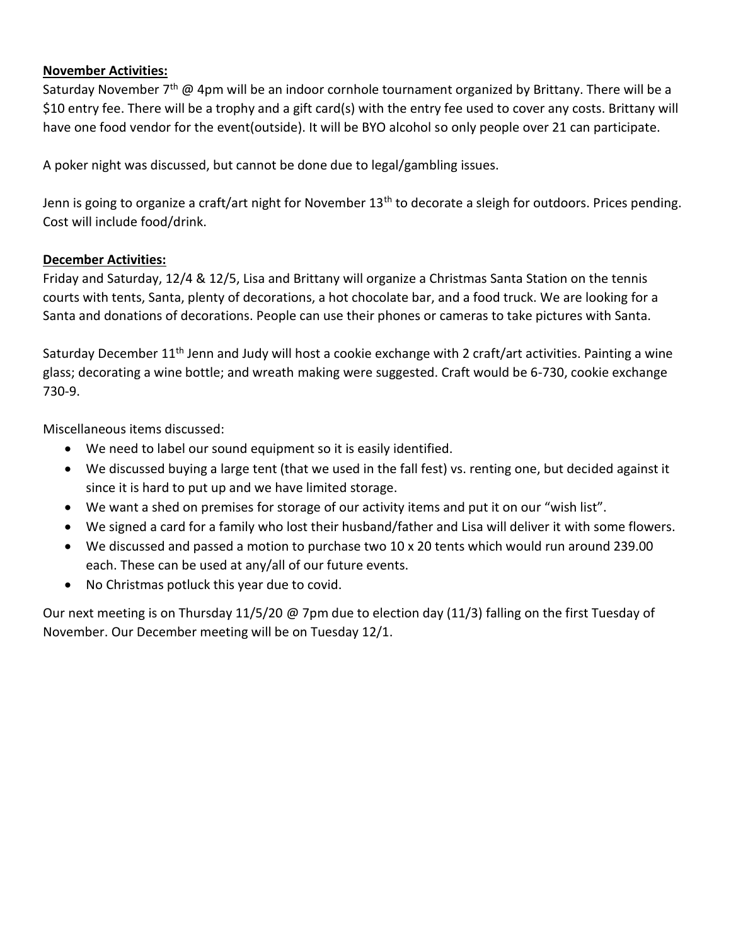## **November Activities:**

Saturday November 7<sup>th</sup> @ 4pm will be an indoor cornhole tournament organized by Brittany. There will be a \$10 entry fee. There will be a trophy and a gift card(s) with the entry fee used to cover any costs. Brittany will have one food vendor for the event(outside). It will be BYO alcohol so only people over 21 can participate.

A poker night was discussed, but cannot be done due to legal/gambling issues.

Jenn is going to organize a craft/art night for November  $13<sup>th</sup>$  to decorate a sleigh for outdoors. Prices pending. Cost will include food/drink.

## **December Activities:**

Friday and Saturday, 12/4 & 12/5, Lisa and Brittany will organize a Christmas Santa Station on the tennis courts with tents, Santa, plenty of decorations, a hot chocolate bar, and a food truck. We are looking for a Santa and donations of decorations. People can use their phones or cameras to take pictures with Santa.

Saturday December 11<sup>th</sup> Jenn and Judy will host a cookie exchange with 2 craft/art activities. Painting a wine glass; decorating a wine bottle; and wreath making were suggested. Craft would be 6-730, cookie exchange 730-9.

Miscellaneous items discussed:

- We need to label our sound equipment so it is easily identified.
- We discussed buying a large tent (that we used in the fall fest) vs. renting one, but decided against it since it is hard to put up and we have limited storage.
- We want a shed on premises for storage of our activity items and put it on our "wish list".
- We signed a card for a family who lost their husband/father and Lisa will deliver it with some flowers.
- We discussed and passed a motion to purchase two 10 x 20 tents which would run around 239.00 each. These can be used at any/all of our future events.
- No Christmas potluck this year due to covid.

Our next meeting is on Thursday 11/5/20 @ 7pm due to election day (11/3) falling on the first Tuesday of November. Our December meeting will be on Tuesday 12/1.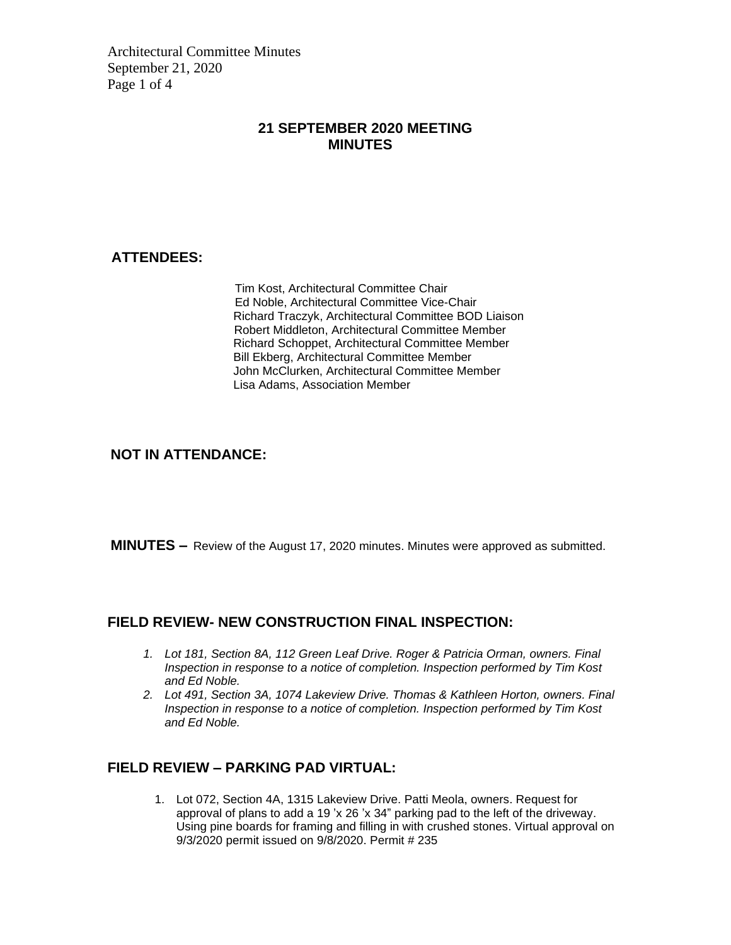Architectural Committee Minutes September 21, 2020 Page 1 of 4

#### **21 SEPTEMBER 2020 MEETING MINUTES**

## **ATTENDEES:**

Tim Kost, Architectural Committee Chair Ed Noble, Architectural Committee Vice-Chair Richard Traczyk, Architectural Committee BOD Liaison Robert Middleton, Architectural Committee Member Richard Schoppet, Architectural Committee Member Bill Ekberg, Architectural Committee Member John McClurken, Architectural Committee Member Lisa Adams, Association Member

#### **NOT IN ATTENDANCE:**

**MINUTES –** Review of the August 17, 2020 minutes. Minutes were approved as submitted.

#### **FIELD REVIEW- NEW CONSTRUCTION FINAL INSPECTION:**

- *1. Lot 181, Section 8A, 112 Green Leaf Drive. Roger & Patricia Orman, owners. Final Inspection in response to a notice of completion. Inspection performed by Tim Kost and Ed Noble.*
- *2. Lot 491, Section 3A, 1074 Lakeview Drive. Thomas & Kathleen Horton, owners. Final Inspection in response to a notice of completion. Inspection performed by Tim Kost and Ed Noble.*

#### **FIELD REVIEW – PARKING PAD VIRTUAL:**

1. Lot 072, Section 4A, 1315 Lakeview Drive. Patti Meola, owners. Request for approval of plans to add a 19 'x 26 'x 34" parking pad to the left of the driveway. Using pine boards for framing and filling in with crushed stones. Virtual approval on 9/3/2020 permit issued on 9/8/2020. Permit # 235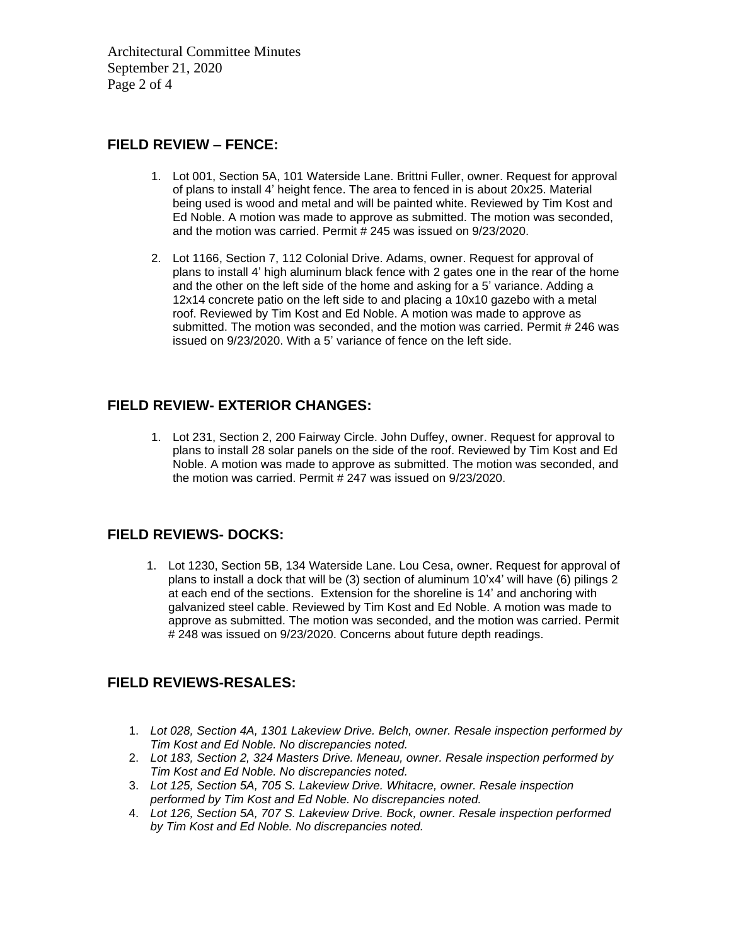Architectural Committee Minutes September 21, 2020 Page 2 of 4

#### **FIELD REVIEW – FENCE:**

- 1. Lot 001, Section 5A, 101 Waterside Lane. Brittni Fuller, owner. Request for approval of plans to install 4' height fence. The area to fenced in is about 20x25. Material being used is wood and metal and will be painted white. Reviewed by Tim Kost and Ed Noble. A motion was made to approve as submitted. The motion was seconded, and the motion was carried. Permit # 245 was issued on 9/23/2020.
- 2. Lot 1166, Section 7, 112 Colonial Drive. Adams, owner. Request for approval of plans to install 4' high aluminum black fence with 2 gates one in the rear of the home and the other on the left side of the home and asking for a 5' variance. Adding a 12x14 concrete patio on the left side to and placing a 10x10 gazebo with a metal roof. Reviewed by Tim Kost and Ed Noble. A motion was made to approve as submitted. The motion was seconded, and the motion was carried. Permit # 246 was issued on 9/23/2020. With a 5' variance of fence on the left side.

## **FIELD REVIEW- EXTERIOR CHANGES:**

1. Lot 231, Section 2, 200 Fairway Circle. John Duffey, owner. Request for approval to plans to install 28 solar panels on the side of the roof. Reviewed by Tim Kost and Ed Noble. A motion was made to approve as submitted. The motion was seconded, and the motion was carried. Permit # 247 was issued on 9/23/2020.

## **FIELD REVIEWS- DOCKS:**

1. Lot 1230, Section 5B, 134 Waterside Lane. Lou Cesa, owner. Request for approval of plans to install a dock that will be (3) section of aluminum 10'x4' will have (6) pilings 2 at each end of the sections. Extension for the shoreline is 14' and anchoring with galvanized steel cable. Reviewed by Tim Kost and Ed Noble. A motion was made to approve as submitted. The motion was seconded, and the motion was carried. Permit # 248 was issued on 9/23/2020. Concerns about future depth readings.

## **FIELD REVIEWS-RESALES:**

- 1. *Lot 028, Section 4A, 1301 Lakeview Drive. Belch, owner. Resale inspection performed by Tim Kost and Ed Noble. No discrepancies noted.*
- 2. *Lot 183, Section 2, 324 Masters Drive. Meneau, owner. Resale inspection performed by Tim Kost and Ed Noble. No discrepancies noted.*
- 3. *Lot 125, Section 5A, 705 S. Lakeview Drive. Whitacre, owner. Resale inspection performed by Tim Kost and Ed Noble. No discrepancies noted.*
- 4. *Lot 126, Section 5A, 707 S. Lakeview Drive. Bock, owner. Resale inspection performed by Tim Kost and Ed Noble. No discrepancies noted.*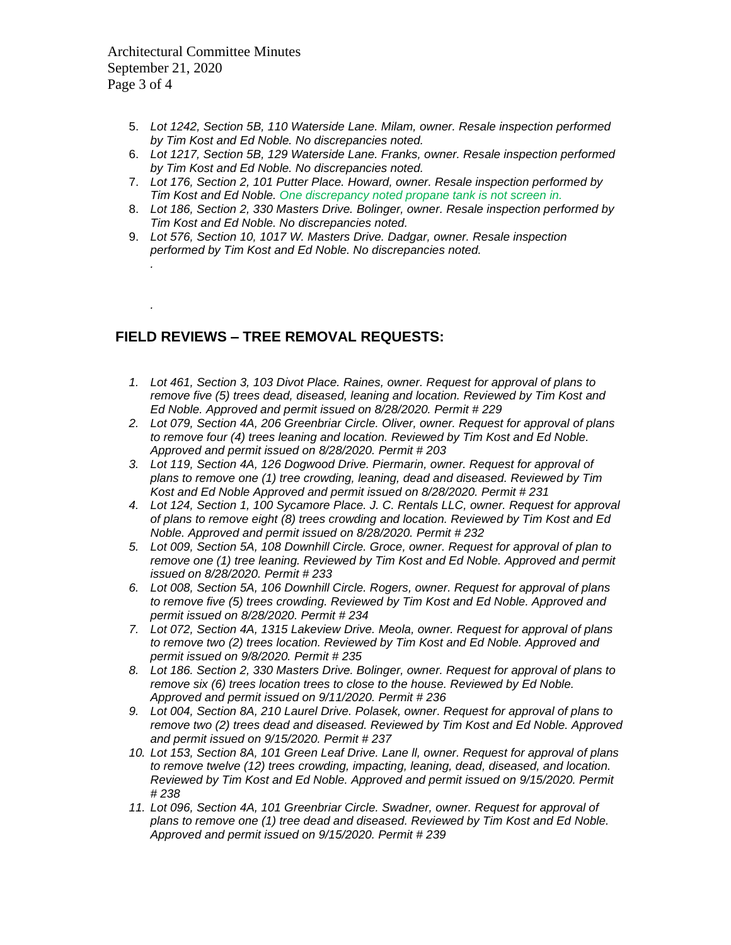Architectural Committee Minutes September 21, 2020 Page 3 of 4

*.*

*.*

- 5. *Lot 1242, Section 5B, 110 Waterside Lane. Milam, owner. Resale inspection performed by Tim Kost and Ed Noble. No discrepancies noted.*
- 6. *Lot 1217, Section 5B, 129 Waterside Lane. Franks, owner. Resale inspection performed by Tim Kost and Ed Noble. No discrepancies noted.*
- 7. *Lot 176, Section 2, 101 Putter Place. Howard, owner. Resale inspection performed by Tim Kost and Ed Noble. One discrepancy noted propane tank is not screen in.*
- 8. *Lot 186, Section 2, 330 Masters Drive. Bolinger, owner. Resale inspection performed by Tim Kost and Ed Noble. No discrepancies noted.*
- 9. *Lot 576, Section 10, 1017 W. Masters Drive. Dadgar, owner. Resale inspection performed by Tim Kost and Ed Noble. No discrepancies noted.*

## **FIELD REVIEWS – TREE REMOVAL REQUESTS:**

- *1. Lot 461, Section 3, 103 Divot Place. Raines, owner. Request for approval of plans to remove five (5) trees dead, diseased, leaning and location. Reviewed by Tim Kost and Ed Noble. Approved and permit issued on 8/28/2020. Permit # 229*
- *2. Lot 079, Section 4A, 206 Greenbriar Circle. Oliver, owner. Request for approval of plans to remove four (4) trees leaning and location. Reviewed by Tim Kost and Ed Noble. Approved and permit issued on 8/28/2020. Permit # 203*
- *3. Lot 119, Section 4A, 126 Dogwood Drive. Piermarin, owner. Request for approval of plans to remove one (1) tree crowding, leaning, dead and diseased. Reviewed by Tim Kost and Ed Noble Approved and permit issued on 8/28/2020. Permit # 231*
- *4. Lot 124, Section 1, 100 Sycamore Place. J. C. Rentals LLC, owner. Request for approval of plans to remove eight (8) trees crowding and location. Reviewed by Tim Kost and Ed Noble. Approved and permit issued on 8/28/2020. Permit # 232*
- *5. Lot 009, Section 5A, 108 Downhill Circle. Groce, owner. Request for approval of plan to remove one (1) tree leaning. Reviewed by Tim Kost and Ed Noble. Approved and permit issued on 8/28/2020. Permit # 233*
- *6. Lot 008, Section 5A, 106 Downhill Circle. Rogers, owner. Request for approval of plans to remove five (5) trees crowding. Reviewed by Tim Kost and Ed Noble. Approved and permit issued on 8/28/2020. Permit # 234*
- *7. Lot 072, Section 4A, 1315 Lakeview Drive. Meola, owner. Request for approval of plans to remove two (2) trees location. Reviewed by Tim Kost and Ed Noble. Approved and permit issued on 9/8/2020. Permit # 235*
- *8. Lot 186. Section 2, 330 Masters Drive. Bolinger, owner. Request for approval of plans to remove six (6) trees location trees to close to the house. Reviewed by Ed Noble. Approved and permit issued on 9/11/2020. Permit # 236*
- *9. Lot 004, Section 8A, 210 Laurel Drive. Polasek, owner. Request for approval of plans to remove two (2) trees dead and diseased. Reviewed by Tim Kost and Ed Noble. Approved and permit issued on 9/15/2020. Permit # 237*
- *10. Lot 153, Section 8A, 101 Green Leaf Drive. Lane ll, owner. Request for approval of plans to remove twelve (12) trees crowding, impacting, leaning, dead, diseased, and location. Reviewed by Tim Kost and Ed Noble. Approved and permit issued on 9/15/2020. Permit # 238*
- *11. Lot 096, Section 4A, 101 Greenbriar Circle. Swadner, owner. Request for approval of plans to remove one (1) tree dead and diseased. Reviewed by Tim Kost and Ed Noble. Approved and permit issued on 9/15/2020. Permit # 239*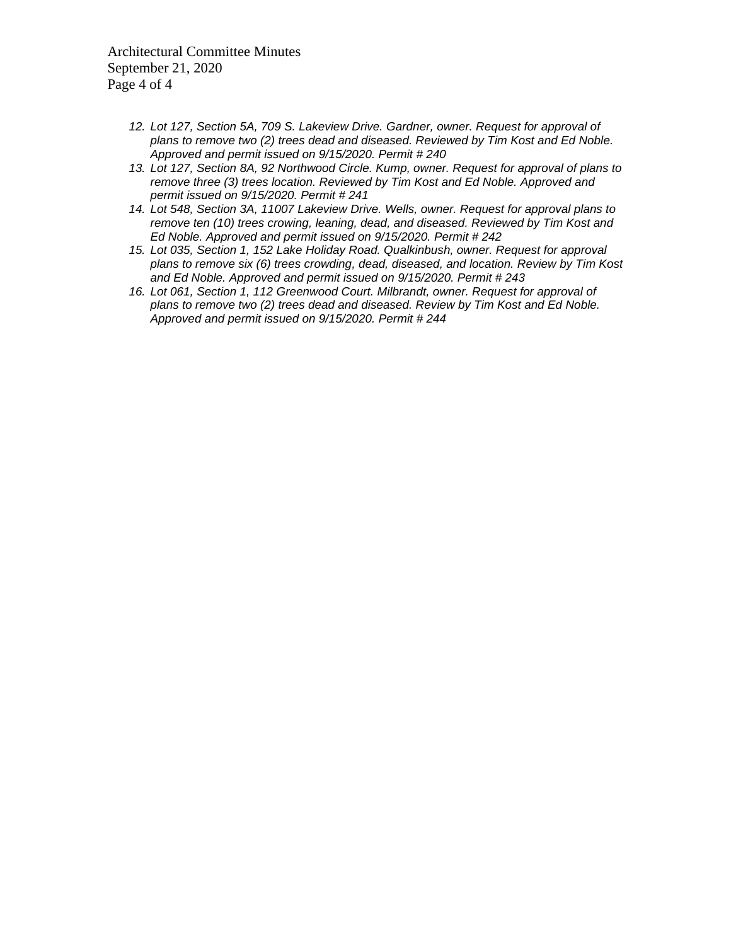Architectural Committee Minutes September 21, 2020 Page 4 of 4

- *12. Lot 127, Section 5A, 709 S. Lakeview Drive. Gardner, owner. Request for approval of plans to remove two (2) trees dead and diseased. Reviewed by Tim Kost and Ed Noble. Approved and permit issued on 9/15/2020. Permit # 240*
- *13. Lot 127, Section 8A, 92 Northwood Circle. Kump, owner. Request for approval of plans to remove three (3) trees location. Reviewed by Tim Kost and Ed Noble. Approved and permit issued on 9/15/2020. Permit # 241*
- *14. Lot 548, Section 3A, 11007 Lakeview Drive. Wells, owner. Request for approval plans to remove ten (10) trees crowing, leaning, dead, and diseased. Reviewed by Tim Kost and Ed Noble. Approved and permit issued on 9/15/2020. Permit # 242*
- *15. Lot 035, Section 1, 152 Lake Holiday Road. Qualkinbush, owner. Request for approval plans to remove six (6) trees crowding, dead, diseased, and location. Review by Tim Kost and Ed Noble. Approved and permit issued on 9/15/2020. Permit # 243*
- *16. Lot 061, Section 1, 112 Greenwood Court. Milbrandt, owner. Request for approval of plans to remove two (2) trees dead and diseased. Review by Tim Kost and Ed Noble. Approved and permit issued on 9/15/2020. Permit # 244*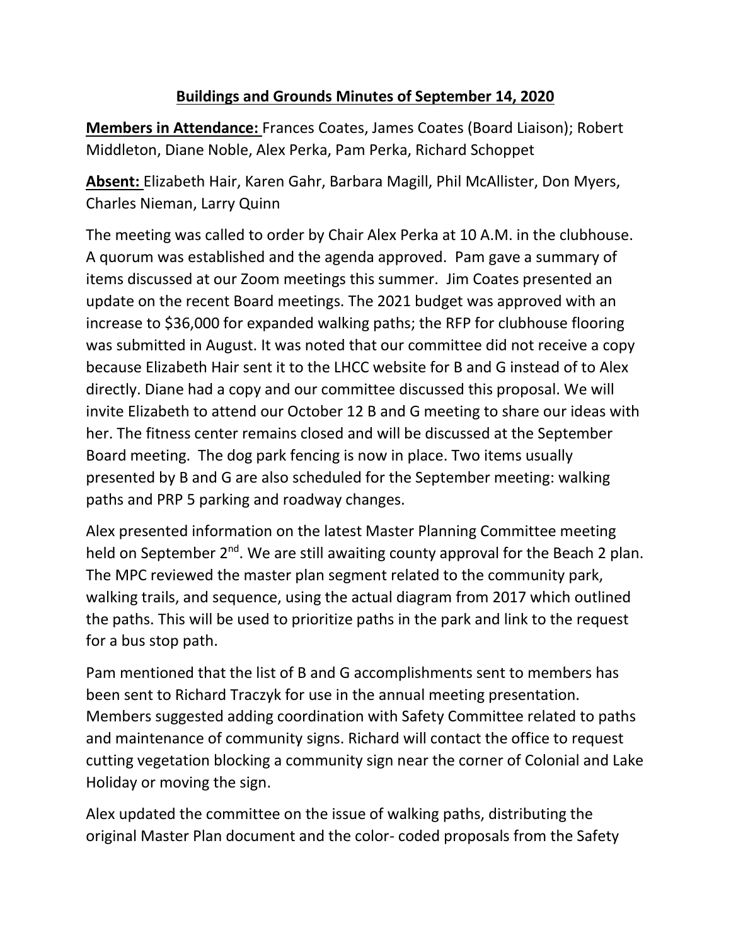# **Buildings and Grounds Minutes of September 14, 2020**

**Members in Attendance:** Frances Coates, James Coates (Board Liaison); Robert Middleton, Diane Noble, Alex Perka, Pam Perka, Richard Schoppet

**Absent:** Elizabeth Hair, Karen Gahr, Barbara Magill, Phil McAllister, Don Myers, Charles Nieman, Larry Quinn

The meeting was called to order by Chair Alex Perka at 10 A.M. in the clubhouse. A quorum was established and the agenda approved. Pam gave a summary of items discussed at our Zoom meetings this summer. Jim Coates presented an update on the recent Board meetings. The 2021 budget was approved with an increase to \$36,000 for expanded walking paths; the RFP for clubhouse flooring was submitted in August. It was noted that our committee did not receive a copy because Elizabeth Hair sent it to the LHCC website for B and G instead of to Alex directly. Diane had a copy and our committee discussed this proposal. We will invite Elizabeth to attend our October 12 B and G meeting to share our ideas with her. The fitness center remains closed and will be discussed at the September Board meeting. The dog park fencing is now in place. Two items usually presented by B and G are also scheduled for the September meeting: walking paths and PRP 5 parking and roadway changes.

Alex presented information on the latest Master Planning Committee meeting held on September  $2^{nd}$ . We are still awaiting county approval for the Beach 2 plan. The MPC reviewed the master plan segment related to the community park, walking trails, and sequence, using the actual diagram from 2017 which outlined the paths. This will be used to prioritize paths in the park and link to the request for a bus stop path.

Pam mentioned that the list of B and G accomplishments sent to members has been sent to Richard Traczyk for use in the annual meeting presentation. Members suggested adding coordination with Safety Committee related to paths and maintenance of community signs. Richard will contact the office to request cutting vegetation blocking a community sign near the corner of Colonial and Lake Holiday or moving the sign.

Alex updated the committee on the issue of walking paths, distributing the original Master Plan document and the color- coded proposals from the Safety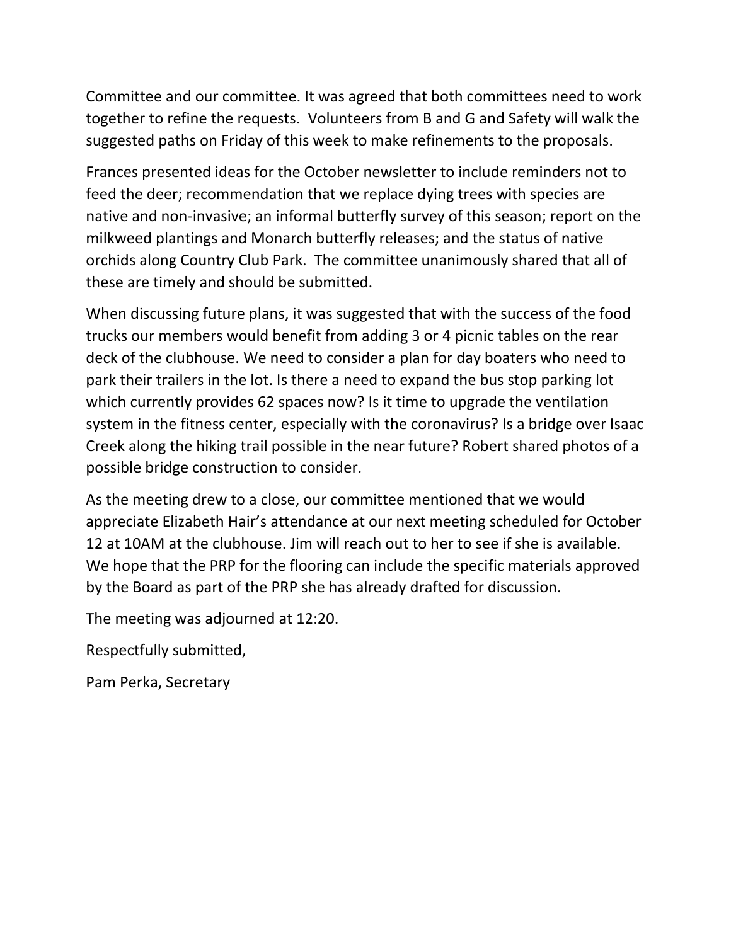Committee and our committee. It was agreed that both committees need to work together to refine the requests. Volunteers from B and G and Safety will walk the suggested paths on Friday of this week to make refinements to the proposals.

Frances presented ideas for the October newsletter to include reminders not to feed the deer; recommendation that we replace dying trees with species are native and non-invasive; an informal butterfly survey of this season; report on the milkweed plantings and Monarch butterfly releases; and the status of native orchids along Country Club Park. The committee unanimously shared that all of these are timely and should be submitted.

When discussing future plans, it was suggested that with the success of the food trucks our members would benefit from adding 3 or 4 picnic tables on the rear deck of the clubhouse. We need to consider a plan for day boaters who need to park their trailers in the lot. Is there a need to expand the bus stop parking lot which currently provides 62 spaces now? Is it time to upgrade the ventilation system in the fitness center, especially with the coronavirus? Is a bridge over Isaac Creek along the hiking trail possible in the near future? Robert shared photos of a possible bridge construction to consider.

As the meeting drew to a close, our committee mentioned that we would appreciate Elizabeth Hair's attendance at our next meeting scheduled for October 12 at 10AM at the clubhouse. Jim will reach out to her to see if she is available. We hope that the PRP for the flooring can include the specific materials approved by the Board as part of the PRP she has already drafted for discussion.

The meeting was adjourned at 12:20.

Respectfully submitted,

Pam Perka, Secretary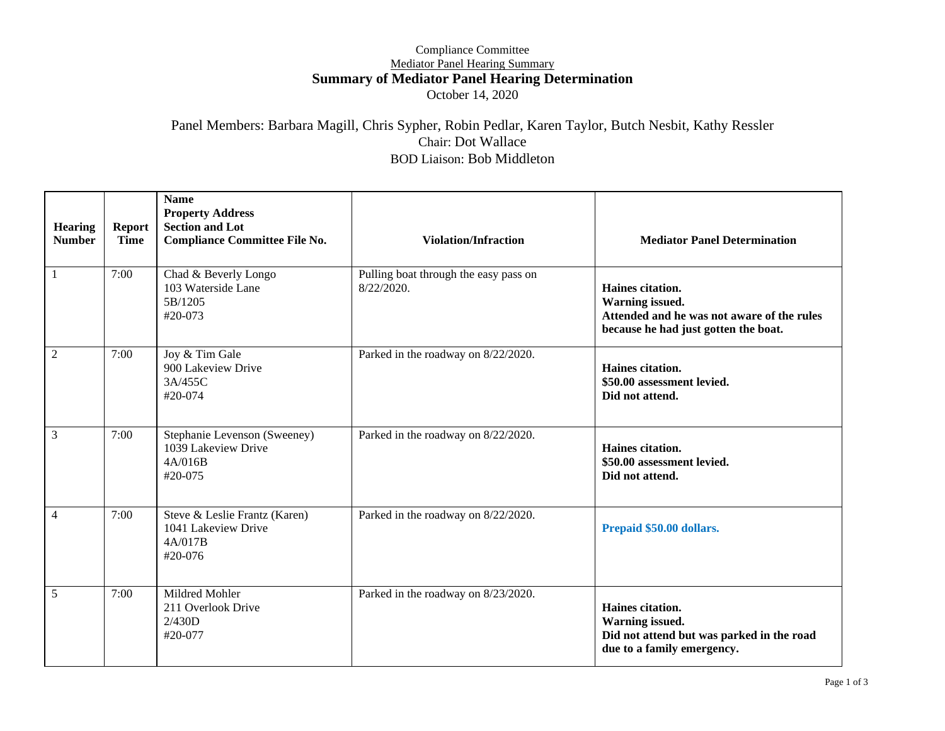#### Compliance Committee Mediator Panel Hearing Summary **Summary of Mediator Panel Hearing Determination** October 14, 2020

#### Panel Members: Barbara Magill, Chris Sypher, Robin Pedlar, Karen Taylor, Butch Nesbit, Kathy Ressler Chair: Dot Wallace BOD Liaison: Bob Middleton

| <b>Hearing</b><br><b>Number</b> | <b>Report</b><br><b>Time</b> | <b>Name</b><br><b>Property Address</b><br><b>Section and Lot</b><br><b>Compliance Committee File No.</b> | <b>Violation/Infraction</b>                         | <b>Mediator Panel Determination</b>                                                                                       |
|---------------------------------|------------------------------|----------------------------------------------------------------------------------------------------------|-----------------------------------------------------|---------------------------------------------------------------------------------------------------------------------------|
| 1                               | 7:00                         | Chad & Beverly Longo<br>103 Waterside Lane<br>5B/1205<br>#20-073                                         | Pulling boat through the easy pass on<br>8/22/2020. | Haines citation.<br>Warning issued.<br>Attended and he was not aware of the rules<br>because he had just gotten the boat. |
| $\overline{c}$                  | 7:00                         | Joy & Tim Gale<br>900 Lakeview Drive<br>3A/455C<br>$#20-074$                                             | Parked in the roadway on 8/22/2020.                 | Haines citation.<br>\$50.00 assessment levied.<br>Did not attend.                                                         |
| 3                               | 7:00                         | Stephanie Levenson (Sweeney)<br>1039 Lakeview Drive<br>4A/016B<br>#20-075                                | Parked in the roadway on 8/22/2020.                 | Haines citation.<br>\$50.00 assessment levied.<br>Did not attend.                                                         |
| 4                               | 7:00                         | Steve & Leslie Frantz (Karen)<br>1041 Lakeview Drive<br>4A/017B<br>#20-076                               | Parked in the roadway on 8/22/2020.                 | Prepaid \$50.00 dollars.                                                                                                  |
| 5                               | 7:00                         | Mildred Mohler<br>211 Overlook Drive<br>2/430D<br>#20-077                                                | Parked in the roadway on 8/23/2020.                 | Haines citation.<br>Warning issued.<br>Did not attend but was parked in the road<br>due to a family emergency.            |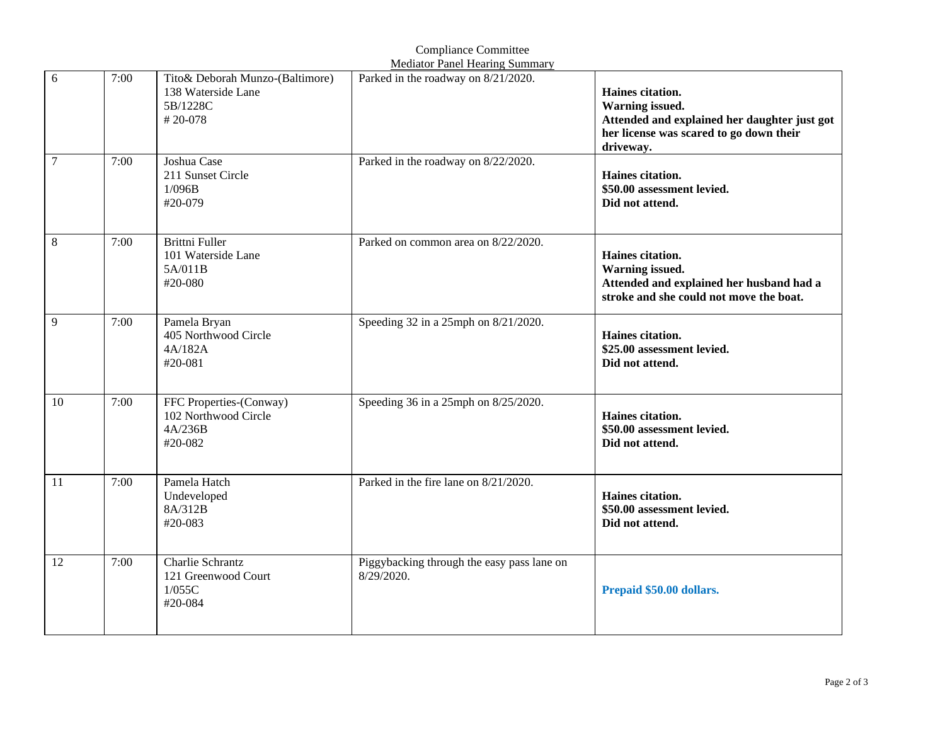|                  |      |                                                                              | <b>Mediator Panel Hearing Summary</b>                    |                                                                                                                                             |
|------------------|------|------------------------------------------------------------------------------|----------------------------------------------------------|---------------------------------------------------------------------------------------------------------------------------------------------|
| 6                | 7:00 | Tito& Deborah Munzo-(Baltimore)<br>138 Waterside Lane<br>5B/1228C<br>#20-078 | Parked in the roadway on 8/21/2020.                      | Haines citation.<br>Warning issued.<br>Attended and explained her daughter just got<br>her license was scared to go down their<br>driveway. |
| $\boldsymbol{7}$ | 7:00 | Joshua Case<br>211 Sunset Circle<br>1/096B<br>#20-079                        | Parked in the roadway on 8/22/2020.                      | Haines citation.<br>\$50.00 assessment levied.<br>Did not attend.                                                                           |
| 8                | 7:00 | <b>Brittni Fuller</b><br>101 Waterside Lane<br>5A/011B<br>#20-080            | Parked on common area on 8/22/2020.                      | Haines citation.<br>Warning issued.<br>Attended and explained her husband had a<br>stroke and she could not move the boat.                  |
| 9                | 7:00 | Pamela Bryan<br>405 Northwood Circle<br>4A/182A<br>#20-081                   | Speeding 32 in a 25mph on 8/21/2020.                     | Haines citation.<br>\$25.00 assessment levied.<br>Did not attend.                                                                           |
| 10               | 7:00 | FFC Properties-(Conway)<br>102 Northwood Circle<br>4A/236B<br>#20-082        | Speeding 36 in a 25mph on 8/25/2020.                     | Haines citation.<br>\$50.00 assessment levied.<br>Did not attend.                                                                           |
| 11               | 7:00 | Pamela Hatch<br>Undeveloped<br>8A/312B<br>#20-083                            | Parked in the fire lane on 8/21/2020.                    | Haines citation.<br>\$50.00 assessment levied.<br>Did not attend.                                                                           |
| 12               | 7:00 | Charlie Schrantz<br>121 Greenwood Court<br>1/055C<br>#20-084                 | Piggybacking through the easy pass lane on<br>8/29/2020. | Prepaid \$50.00 dollars.                                                                                                                    |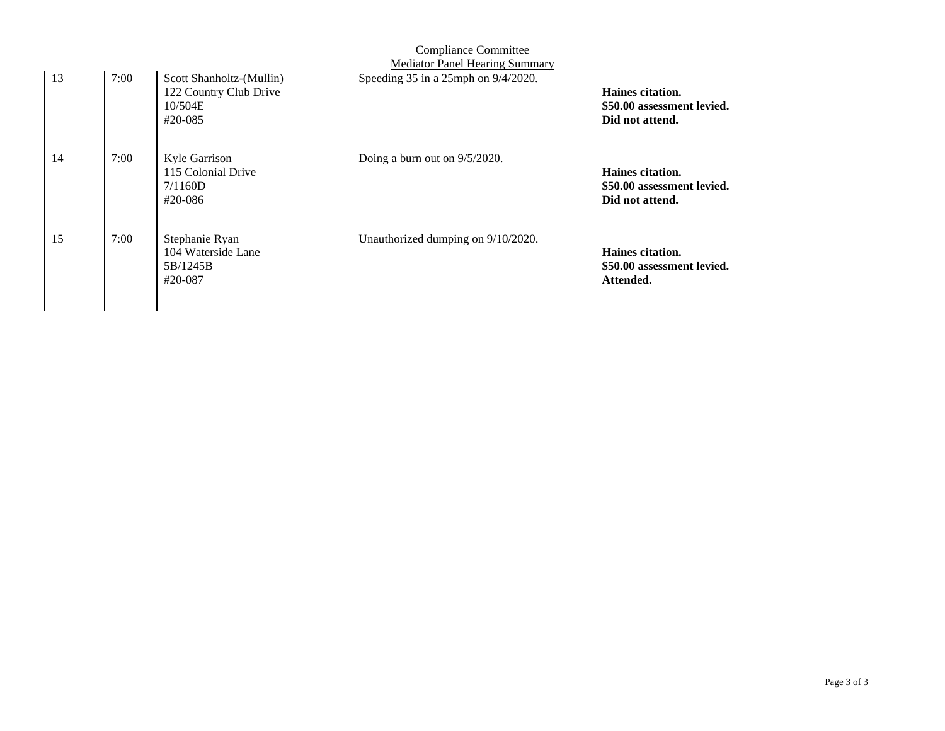|    | <b>Mediator Panel Hearing Summary</b> |                                                                          |                                          |                                                                   |  |  |  |  |
|----|---------------------------------------|--------------------------------------------------------------------------|------------------------------------------|-------------------------------------------------------------------|--|--|--|--|
| 13 | 7:00                                  | Scott Shanholtz-(Mullin)<br>122 Country Club Drive<br>10/504E<br>#20-085 | Speeding $35$ in a 25mph on $9/4/2020$ . | Haines citation.<br>\$50.00 assessment levied.<br>Did not attend. |  |  |  |  |
| 14 | 7:00                                  | Kyle Garrison<br>115 Colonial Drive<br>7/1160D<br>#20-086                | Doing a burn out on 9/5/2020.            | Haines citation.<br>\$50.00 assessment levied.<br>Did not attend. |  |  |  |  |
| 15 | 7:00                                  | Stephanie Ryan<br>104 Waterside Lane<br>5B/1245B<br>#20-087              | Unauthorized dumping on 9/10/2020.       | Haines citation.<br>\$50.00 assessment levied.<br>Attended.       |  |  |  |  |

Compliance Committee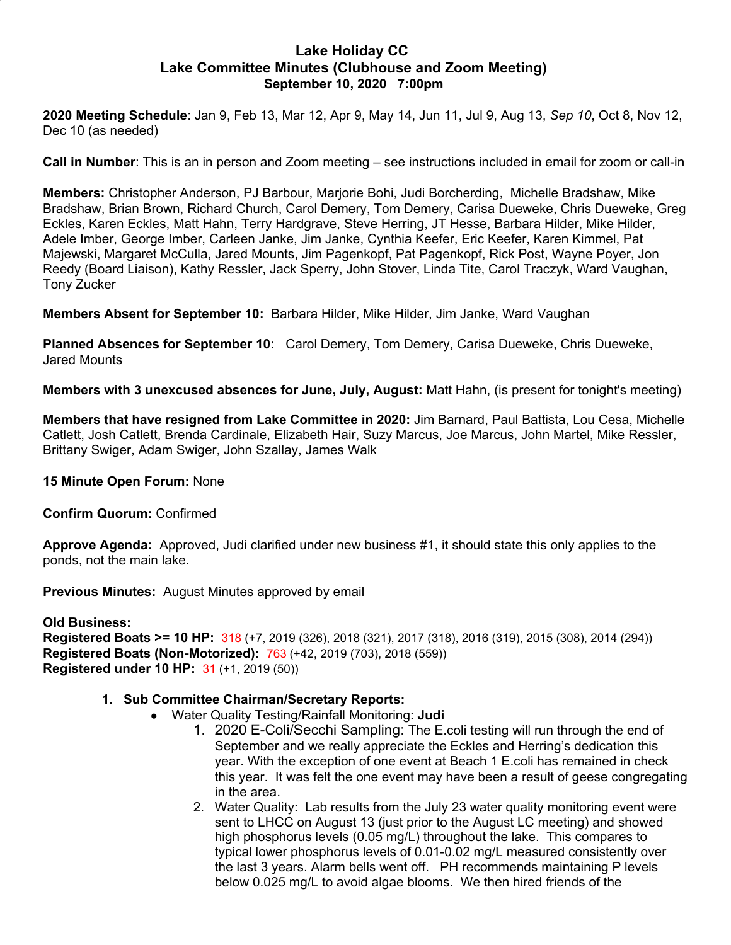#### **Lake Holiday CC Lake Committee Minutes (Clubhouse and Zoom Meeting) September 10, 2020 7:00pm**

**2020 Meeting Schedule**: Jan 9, Feb 13, Mar 12, Apr 9, May 14, Jun 11, Jul 9, Aug 13, *Sep 10*, Oct 8, Nov 12, Dec 10 (as needed)

**Call in Number**: This is an in person and Zoom meeting – see instructions included in email for zoom or call-in

**Members:** Christopher Anderson, PJ Barbour, Marjorie Bohi, Judi Borcherding, Michelle Bradshaw, Mike Bradshaw, Brian Brown, Richard Church, Carol Demery, Tom Demery, Carisa Dueweke, Chris Dueweke, Greg Eckles, Karen Eckles, Matt Hahn, Terry Hardgrave, Steve Herring, JT Hesse, Barbara Hilder, Mike Hilder, Adele Imber, George Imber, Carleen Janke, Jim Janke, Cynthia Keefer, Eric Keefer, Karen Kimmel, Pat Majewski, Margaret McCulla, Jared Mounts, Jim Pagenkopf, Pat Pagenkopf, Rick Post, Wayne Poyer, Jon Reedy (Board Liaison), Kathy Ressler, Jack Sperry, John Stover, Linda Tite, Carol Traczyk, Ward Vaughan, Tony Zucker

**Members Absent for September 10:** Barbara Hilder, Mike Hilder, Jim Janke, Ward Vaughan

**Planned Absences for September 10:** Carol Demery, Tom Demery, Carisa Dueweke, Chris Dueweke, Jared Mounts

**Members with 3 unexcused absences for June, July, August:** Matt Hahn, (is present for tonight's meeting)

**Members that have resigned from Lake Committee in 2020:** Jim Barnard, Paul Battista, Lou Cesa, Michelle Catlett, Josh Catlett, Brenda Cardinale, Elizabeth Hair, Suzy Marcus, Joe Marcus, John Martel, Mike Ressler, Brittany Swiger, Adam Swiger, John Szallay, James Walk

**15 Minute Open Forum:** None

**Confirm Quorum:** Confirmed

**Approve Agenda:** Approved, Judi clarified under new business #1, it should state this only applies to the ponds, not the main lake.

**Previous Minutes:** August Minutes approved by email

#### **Old Business: Registered Boats >= 10 HP:** 318 (+7, 2019 (326), 2018 (321), 2017 (318), 2016 (319), 2015 (308), 2014 (294)) **Registered Boats (Non-Motorized):** 763 (+42, 2019 (703), 2018 (559)) **Registered under 10 HP:** 31 (+1, 2019 (50))

#### **1. Sub Committee Chairman/Secretary Reports:**

- Water Quality Testing/Rainfall Monitoring: **Judi**
	- 1. 2020 E-Coli/Secchi Sampling: The E.coli testing will run through the end of September and we really appreciate the Eckles and Herring's dedication this year. With the exception of one event at Beach 1 E.coli has remained in check this year. It was felt the one event may have been a result of geese congregating in the area.
	- 2. Water Quality: Lab results from the July 23 water quality monitoring event were sent to LHCC on August 13 (just prior to the August LC meeting) and showed high phosphorus levels (0.05 mg/L) throughout the lake. This compares to typical lower phosphorus levels of 0.01-0.02 mg/L measured consistently over the last 3 years. Alarm bells went off. PH recommends maintaining P levels below 0.025 mg/L to avoid algae blooms. We then hired friends of the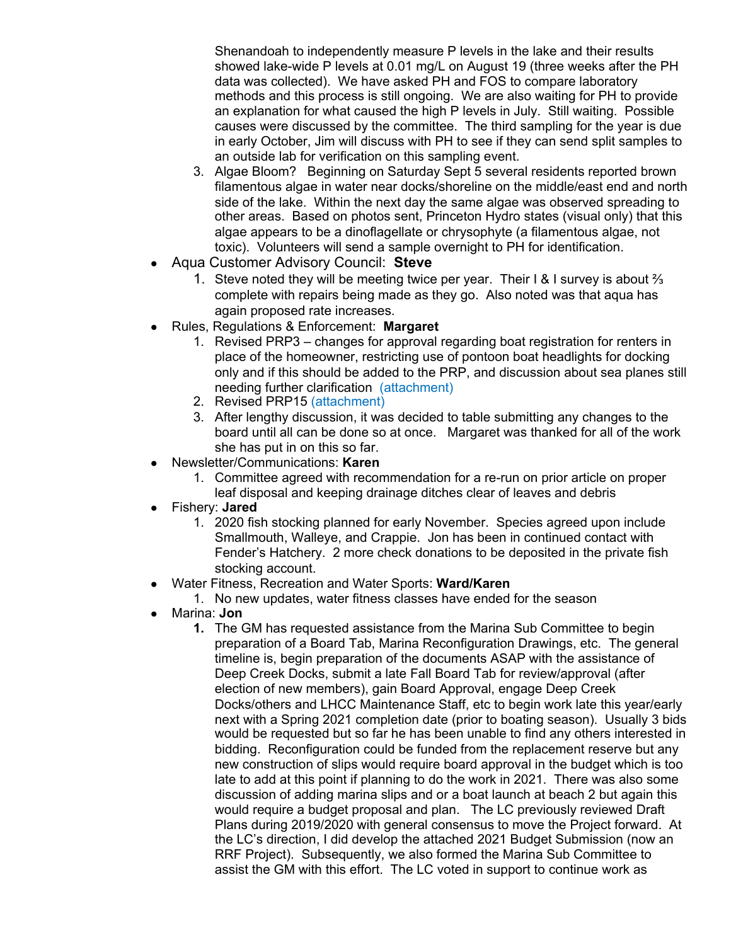Shenandoah to independently measure P levels in the lake and their results showed lake-wide P levels at 0.01 mg/L on August 19 (three weeks after the PH data was collected). We have asked PH and FOS to compare laboratory methods and this process is still ongoing. We are also waiting for PH to provide an explanation for what caused the high P levels in July. Still waiting. Possible causes were discussed by the committee. The third sampling for the year is due in early October, Jim will discuss with PH to see if they can send split samples to an outside lab for verification on this sampling event.

- 3. Algae Bloom? Beginning on Saturday Sept 5 several residents reported brown filamentous algae in water near docks/shoreline on the middle/east end and north side of the lake. Within the next day the same algae was observed spreading to other areas. Based on photos sent, Princeton Hydro states (visual only) that this algae appears to be a dinoflagellate or chrysophyte (a filamentous algae, not toxic). Volunteers will send a sample overnight to PH for identification.
- Aqua Customer Advisory Council: **Steve**
	- 1. Steve noted they will be meeting twice per year. Their I & I survey is about ⅔ complete with repairs being made as they go. Also noted was that aqua has again proposed rate increases.
- Rules, Regulations & Enforcement: **Margaret**
	- 1. Revised PRP3 changes for approval regarding boat registration for renters in place of the homeowner, restricting use of pontoon boat headlights for docking only and if this should be added to the PRP, and discussion about sea planes still needing further clarification (attachment)
	- 2. Revised PRP15 (attachment)
	- 3. After lengthy discussion, it was decided to table submitting any changes to the board until all can be done so at once. Margaret was thanked for all of the work she has put in on this so far.
- Newsletter/Communications: **Karen**
	- 1. Committee agreed with recommendation for a re-run on prior article on proper leaf disposal and keeping drainage ditches clear of leaves and debris
- Fishery: **Jared**
	- 1. 2020 fish stocking planned for early November. Species agreed upon include Smallmouth, Walleye, and Crappie. Jon has been in continued contact with Fender's Hatchery. 2 more check donations to be deposited in the private fish stocking account.
- Water Fitness, Recreation and Water Sports: **Ward/Karen**
	- 1. No new updates, water fitness classes have ended for the season
- Marina: **Jon**
	- **1.** The GM has requested assistance from the Marina Sub Committee to begin preparation of a Board Tab, Marina Reconfiguration Drawings, etc. The general timeline is, begin preparation of the documents ASAP with the assistance of Deep Creek Docks, submit a late Fall Board Tab for review/approval (after election of new members), gain Board Approval, engage Deep Creek Docks/others and LHCC Maintenance Staff, etc to begin work late this year/early next with a Spring 2021 completion date (prior to boating season). Usually 3 bids would be requested but so far he has been unable to find any others interested in bidding. Reconfiguration could be funded from the replacement reserve but any new construction of slips would require board approval in the budget which is too late to add at this point if planning to do the work in 2021. There was also some discussion of adding marina slips and or a boat launch at beach 2 but again this would require a budget proposal and plan. The LC previously reviewed Draft Plans during 2019/2020 with general consensus to move the Project forward. At the LC's direction, I did develop the attached 2021 Budget Submission (now an RRF Project). Subsequently, we also formed the Marina Sub Committee to assist the GM with this effort. The LC voted in support to continue work as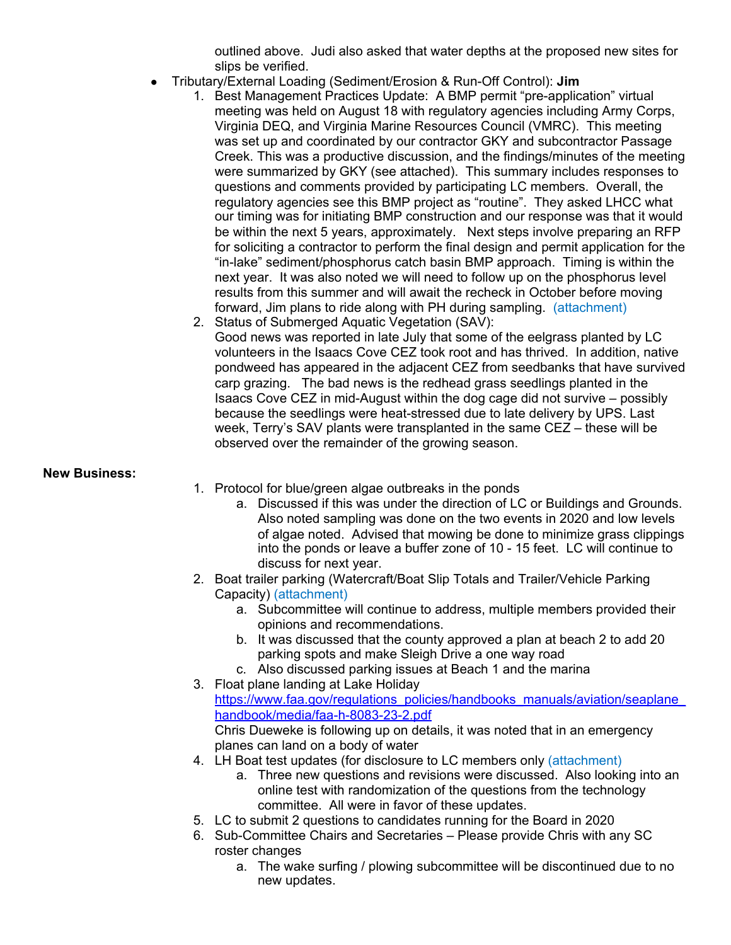outlined above. Judi also asked that water depths at the proposed new sites for slips be verified.

- Tributary/External Loading (Sediment/Erosion & Run-Off Control): **Jim**
	- 1. Best Management Practices Update: A BMP permit "pre-application" virtual meeting was held on August 18 with regulatory agencies including Army Corps, Virginia DEQ, and Virginia Marine Resources Council (VMRC). This meeting was set up and coordinated by our contractor GKY and subcontractor Passage Creek. This was a productive discussion, and the findings/minutes of the meeting were summarized by GKY (see attached). This summary includes responses to questions and comments provided by participating LC members. Overall, the regulatory agencies see this BMP project as "routine". They asked LHCC what our timing was for initiating BMP construction and our response was that it would be within the next 5 years, approximately. Next steps involve preparing an RFP for soliciting a contractor to perform the final design and permit application for the "in-lake" sediment/phosphorus catch basin BMP approach. Timing is within the next year. It was also noted we will need to follow up on the phosphorus level results from this summer and will await the recheck in October before moving forward, Jim plans to ride along with PH during sampling. (attachment)
	- 2. Status of Submerged Aquatic Vegetation (SAV): Good news was reported in late July that some of the eelgrass planted by LC volunteers in the Isaacs Cove CEZ took root and has thrived. In addition, native pondweed has appeared in the adjacent CEZ from seedbanks that have survived carp grazing. The bad news is the redhead grass seedlings planted in the Isaacs Cove CEZ in mid-August within the dog cage did not survive – possibly because the seedlings were heat-stressed due to late delivery by UPS. Last week, Terry's SAV plants were transplanted in the same CEZ – these will be observed over the remainder of the growing season.

#### **New Business:**

- 1. Protocol for blue/green algae outbreaks in the ponds
	- a. Discussed if this was under the direction of LC or Buildings and Grounds. Also noted sampling was done on the two events in 2020 and low levels of algae noted. Advised that mowing be done to minimize grass clippings into the ponds or leave a buffer zone of 10 - 15 feet. LC will continue to discuss for next year.
- 2. Boat trailer parking (Watercraft/Boat Slip Totals and Trailer/Vehicle Parking Capacity) (attachment)
	- a. Subcommittee will continue to address, multiple members provided their opinions and recommendations.
	- b. It was discussed that the county approved a plan at beach 2 to add 20 parking spots and make Sleigh Drive a one way road
- c. Also discussed parking issues at Beach 1 and the marina 3. Float plane landing at Lake Holiday

https://www.faa.gov/regulations\_policies/handbooks\_manuals/aviation/seaplane [handbook/media/faa-h-8083-23-2.pdf](https://www.faa.gov/regulations_policies/handbooks_manuals/aviation/seaplane_handbook/media/faa-h-8083-23-2.pdf) Chris Dueweke is following up on details, it was noted that in an emergency

planes can land on a body of water 4. LH Boat test updates (for disclosure to LC members only (attachment)

- a. Three new questions and revisions were discussed. Also looking into an online test with randomization of the questions from the technology committee. All were in favor of these updates.
- 5. LC to submit 2 questions to candidates running for the Board in 2020
- 6. Sub-Committee Chairs and Secretaries Please provide Chris with any SC roster changes
	- a. The wake surfing / plowing subcommittee will be discontinued due to no new updates.